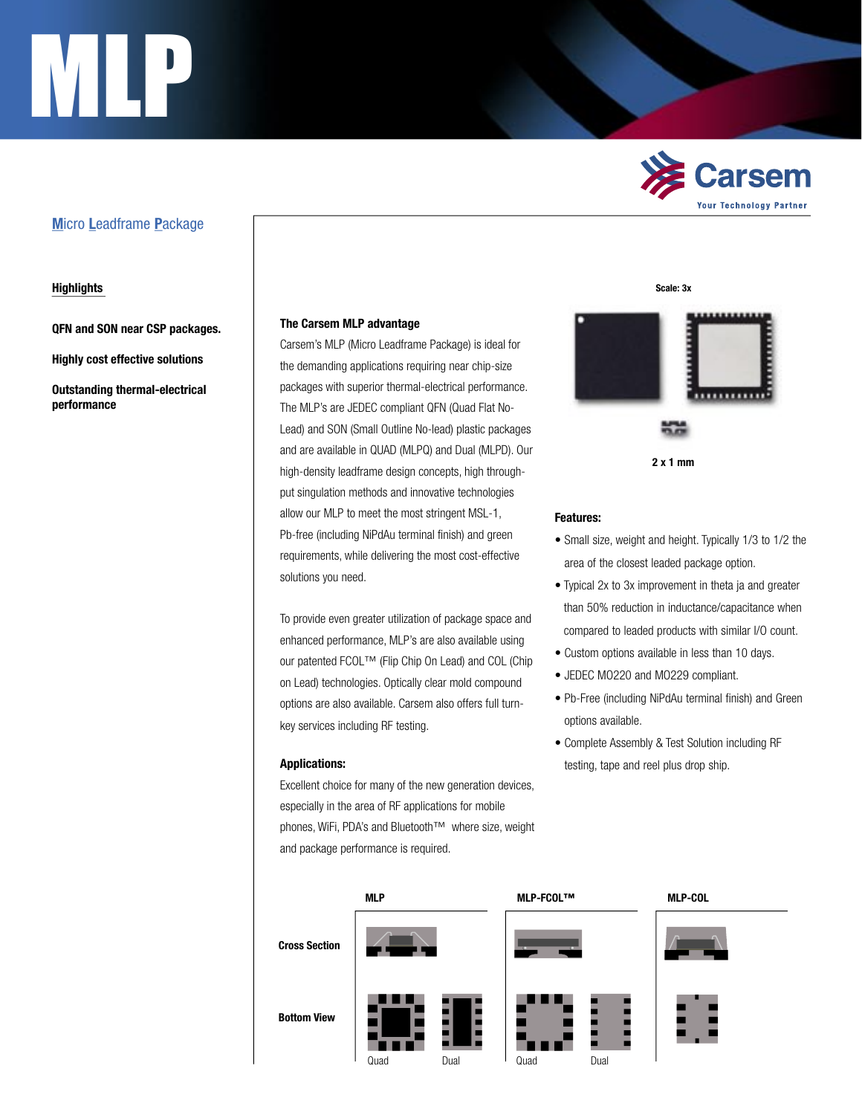# MLP

# **Carsem Your Technology Partner**

## **M**icro **L**eadframe **P**ackage

#### **Highlights**

**QFN and SON near CSP packages.**

**Highly cost effective solutions**

**Outstanding thermal-electrical performance**

### **The Carsem MLP advantage**

**Cross Section** put singulation methods and innovative technologies Pb-free (including NiPdAu terminal finish) and green Carsem's MLP (Micro Leadframe Package) is ideal for the demanding applications requiring near chip-size packages with superior thermal-electrical performance. The MLP's are JEDEC compliant QFN (Quad Flat No-Lead) and SON (Small Outline No-lead) plastic packages and are available in QUAD (MLPQ) and Dual (MLPD). Our high-density leadframe design concepts, high throughallow our MLP to meet the most stringent MSL-1, requirements, while delivering the most cost-effective solutions you need.

our patented FCOL™ (Flip Chip On Lead) and COL (Chip <sup>● Cus</sup> To provide even greater utilization of package space and enhanced performance, MLP's are also available using on Lead) technologies. Optically clear mold compound options are also available. Carsem also offers full turnkey services including RF testing.

#### **Applications:**

Excellent choice for many of the new generation devices, especially in the area of RF applications for mobile phones, WiFi, PDA's and Bluetooth™ where size, weight and package performance is required.



#### **Features:**

- Small size, weight and height. Typically 1/3 to 1/2 the area of the closest leaded package option.
	- Typical 2x to 3x improvement in theta ja and greater than 50% reduction in inductance/capacitance when compared to leaded products with similar I/O count.
	- Custom options available in less than 10 days.
	- JEDEC MO220 and MO229 compliant.
	- Pb-Free (including NiPdAu terminal finish) and Green options available.
	- Complete Assembly & Test Solution including RF testing, tape and reel plus drop ship.